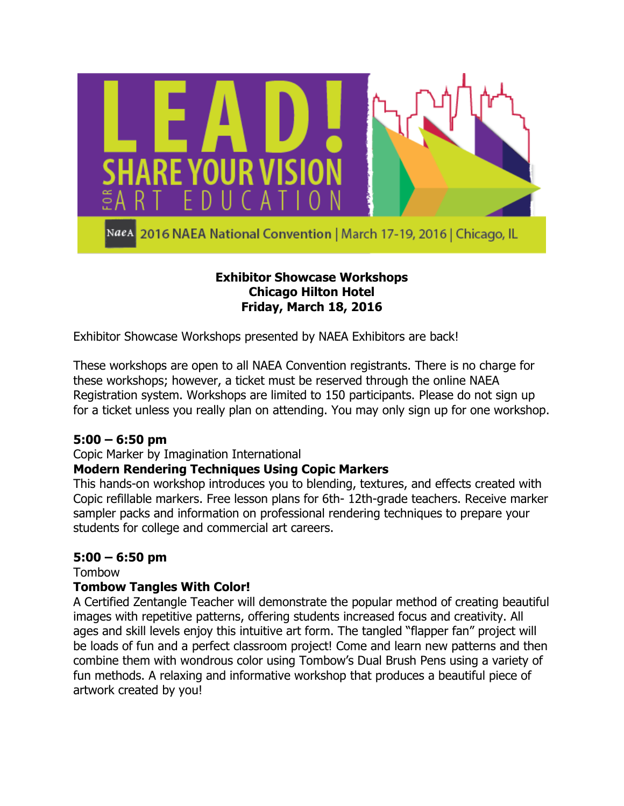

NaeA 2016 NAEA National Convention | March 17-19, 2016 | Chicago, IL

## **Exhibitor Showcase Workshops Chicago Hilton Hotel Friday, March 18, 2016**

Exhibitor Showcase Workshops presented by NAEA Exhibitors are back!

These workshops are open to all NAEA Convention registrants. There is no charge for these workshops; however, a ticket must be reserved through the online NAEA Registration system. Workshops are limited to 150 participants. Please do not sign up for a ticket unless you really plan on attending. You may only sign up for one workshop.

# **5:00 – 6:50 pm**

### Copic Marker by Imagination International

# **Modern Rendering Techniques Using Copic Markers**

This hands-on workshop introduces you to blending, textures, and effects created with Copic refillable markers. Free lesson plans for 6th- 12th-grade teachers. Receive marker sampler packs and information on professional rendering techniques to prepare your students for college and commercial art careers.

# **5:00 – 6:50 pm**

Tombow

### **Tombow Tangles With Color!**

A Certified Zentangle Teacher will demonstrate the popular method of creating beautiful images with repetitive patterns, offering students increased focus and creativity. All ages and skill levels enjoy this intuitive art form. The tangled "flapper fan" project will be loads of fun and a perfect classroom project! Come and learn new patterns and then combine them with wondrous color using Tombow's Dual Brush Pens using a variety of fun methods. A relaxing and informative workshop that produces a beautiful piece of artwork created by you!